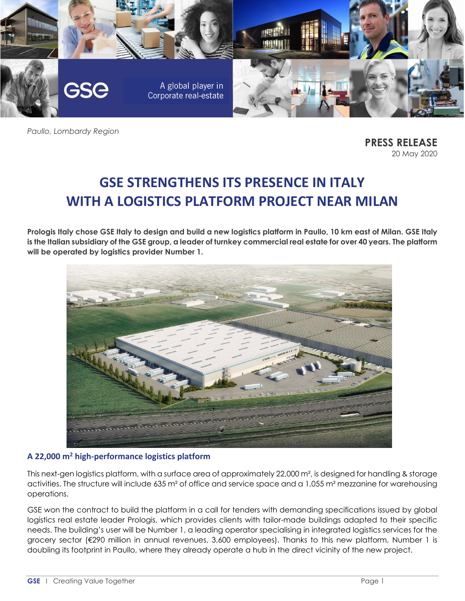

*Paullo, Lombardy Region*

**PRESS RELEASE** 20 May 2020

# **GSE STRENGTHENS ITS PRESENCE IN ITALY WITH A LOGISTICS PLATFORM PROJECT NEAR MILAN**

**Prologis Italy chose GSE Italy to design and build a new logistics platform in Paullo, 10 km east of Milan. GSE Italy is the Italian subsidiary of the GSE group, a leader of turnkey commercial real estate for over 40 years. The platform will be operated by logistics provider Number 1.**



#### **A 22,000 m<sup>2</sup> high-performance logistics platform**

This next-gen logistics platform, with a surface area of approximately 22,000 m², is designed for handling & storage activities. The structure will include 635 m² of office and service space and a 1,055 m² mezzanine for warehousing operations.

GSE won the contract to build the platform in a call for tenders with demanding specifications issued by global logistics real estate leader Prologis, which provides clients with tailor-made buildings adapted to their specific needs. The building's user will be Number 1, a leading operator specialising in integrated logistics services for the grocery sector (€290 million in annual revenues, 3,600 employees). Thanks to this new platform, Number 1 is doubling its footprint in Paullo, where they already operate a hub in the direct vicinity of the new project.